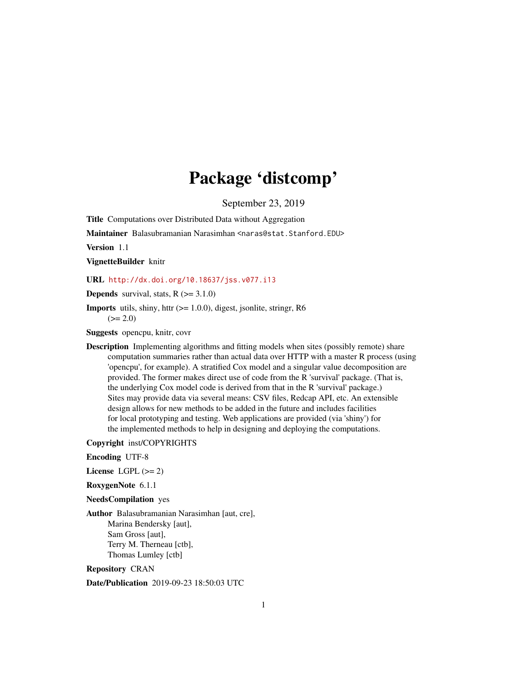## Package 'distcomp'

September 23, 2019

<span id="page-0-0"></span>Title Computations over Distributed Data without Aggregation

Maintainer Balasubramanian Narasimhan <naras@stat.Stanford.EDU>

Version 1.1

VignetteBuilder knitr

URL <http://dx.doi.org/10.18637/jss.v077.i13>

**Depends** survival, stats,  $R$  ( $>= 3.1.0$ )

**Imports** utils, shiny, httr  $(>= 1.0.0)$ , digest, jsonlite, stringr, R6  $(>= 2.0)$ 

Suggests opencpu, knitr, covr

Description Implementing algorithms and fitting models when sites (possibly remote) share computation summaries rather than actual data over HTTP with a master R process (using 'opencpu', for example). A stratified Cox model and a singular value decomposition are provided. The former makes direct use of code from the R 'survival' package. (That is, the underlying Cox model code is derived from that in the R 'survival' package.) Sites may provide data via several means: CSV files, Redcap API, etc. An extensible design allows for new methods to be added in the future and includes facilities for local prototyping and testing. Web applications are provided (via 'shiny') for the implemented methods to help in designing and deploying the computations.

Copyright inst/COPYRIGHTS

Encoding UTF-8

License LGPL  $(>= 2)$ 

RoxygenNote 6.1.1

NeedsCompilation yes

Author Balasubramanian Narasimhan [aut, cre], Marina Bendersky [aut], Sam Gross [aut], Terry M. Therneau [ctb], Thomas Lumley [ctb]

Repository CRAN

Date/Publication 2019-09-23 18:50:03 UTC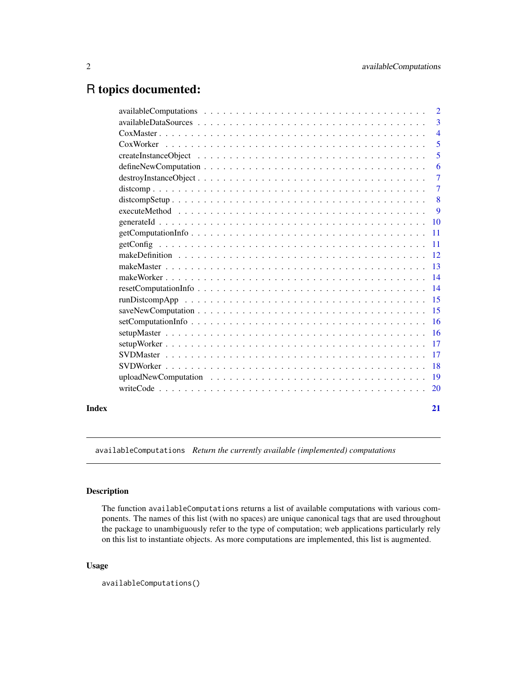## <span id="page-1-0"></span>R topics documented:

| Index |                                                                                                             | 21             |
|-------|-------------------------------------------------------------------------------------------------------------|----------------|
|       |                                                                                                             |                |
|       |                                                                                                             |                |
|       |                                                                                                             | $-18$          |
|       |                                                                                                             |                |
|       |                                                                                                             |                |
|       |                                                                                                             |                |
|       |                                                                                                             |                |
|       |                                                                                                             |                |
|       |                                                                                                             |                |
|       |                                                                                                             |                |
|       |                                                                                                             |                |
|       |                                                                                                             |                |
|       |                                                                                                             |                |
|       |                                                                                                             |                |
|       | $getComputationInfo \ldots \ldots \ldots \ldots \ldots \ldots \ldots \ldots \ldots \ldots \ldots \ldots 11$ |                |
|       |                                                                                                             |                |
|       |                                                                                                             | - 9            |
|       |                                                                                                             | 8              |
|       |                                                                                                             | $\overline{7}$ |
|       | $destroyInstanceObject \ldots \ldots \ldots \ldots \ldots \ldots \ldots \ldots \ldots \ldots \ldots$        | $\overline{7}$ |
|       |                                                                                                             | 6              |
|       |                                                                                                             | 5              |
|       |                                                                                                             | 5              |
|       |                                                                                                             | $\overline{4}$ |
|       |                                                                                                             | 3              |
|       |                                                                                                             | $\overline{2}$ |

<span id="page-1-1"></span>availableComputations *Return the currently available (implemented) computations*

### Description

The function availableComputations returns a list of available computations with various components. The names of this list (with no spaces) are unique canonical tags that are used throughout the package to unambiguously refer to the type of computation; web applications particularly rely on this list to instantiate objects. As more computations are implemented, this list is augmented.

### Usage

```
availableComputations()
```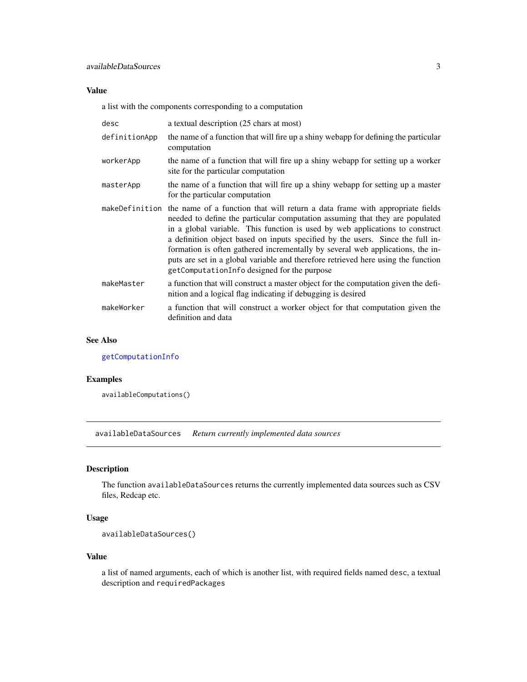### <span id="page-2-0"></span>Value

a list with the components corresponding to a computation

| desc          | a textual description (25 chars at most)                                                                                                                                                                                                                                                                                                                                                                                                                                                                                                                            |
|---------------|---------------------------------------------------------------------------------------------------------------------------------------------------------------------------------------------------------------------------------------------------------------------------------------------------------------------------------------------------------------------------------------------------------------------------------------------------------------------------------------------------------------------------------------------------------------------|
| definitionApp | the name of a function that will fire up a shiny webapp for defining the particular<br>computation                                                                                                                                                                                                                                                                                                                                                                                                                                                                  |
| workerApp     | the name of a function that will fire up a shiny webapp for setting up a worker<br>site for the particular computation                                                                                                                                                                                                                                                                                                                                                                                                                                              |
| masterApp     | the name of a function that will fire up a shiny webapp for setting up a master<br>for the particular computation                                                                                                                                                                                                                                                                                                                                                                                                                                                   |
|               | makeDefinition the name of a function that will return a data frame with appropriate fields<br>needed to define the particular computation assuming that they are populated<br>in a global variable. This function is used by web applications to construct<br>a definition object based on inputs specified by the users. Since the full in-<br>formation is often gathered incrementally by several web applications, the in-<br>puts are set in a global variable and therefore retrieved here using the function<br>getComputationInfo designed for the purpose |
| makeMaster    | a function that will construct a master object for the computation given the defi-<br>nition and a logical flag indicating if debugging is desired                                                                                                                                                                                                                                                                                                                                                                                                                  |
| makeWorker    | a function that will construct a worker object for that computation given the<br>definition and data                                                                                                                                                                                                                                                                                                                                                                                                                                                                |

#### See Also

[getComputationInfo](#page-10-1)

### Examples

availableComputations()

availableDataSources *Return currently implemented data sources*

### Description

The function availableDataSources returns the currently implemented data sources such as CSV files, Redcap etc.

### Usage

```
availableDataSources()
```
#### Value

a list of named arguments, each of which is another list, with required fields named desc, a textual description and requiredPackages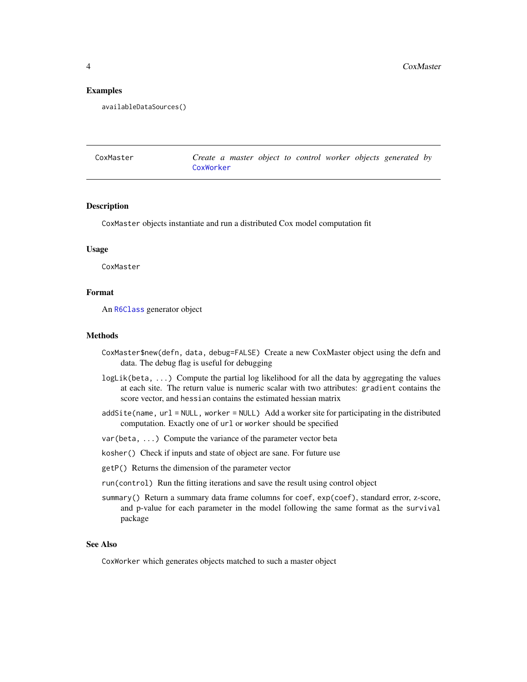#### Examples

availableDataSources()

<span id="page-3-1"></span>

| CoxMaster | Create a master object to control worker objects generated by |  |  |  |
|-----------|---------------------------------------------------------------|--|--|--|
|           | CoxWorker                                                     |  |  |  |

#### Description

CoxMaster objects instantiate and run a distributed Cox model computation fit

#### Usage

CoxMaster

#### Format

An [R6Class](#page-0-0) generator object

#### Methods

- CoxMaster\$new(defn, data, debug=FALSE) Create a new CoxMaster object using the defn and data. The debug flag is useful for debugging
- logLik(beta, ...) Compute the partial log likelihood for all the data by aggregating the values at each site. The return value is numeric scalar with two attributes: gradient contains the score vector, and hessian contains the estimated hessian matrix
- addSite(name, url = NULL, worker = NULL) Add a worker site for participating in the distributed computation. Exactly one of url or worker should be specified
- var(beta, ...) Compute the variance of the parameter vector beta
- kosher() Check if inputs and state of object are sane. For future use
- getP() Returns the dimension of the parameter vector
- run(control) Run the fitting iterations and save the result using control object
- summary() Return a summary data frame columns for coef,  $exp(coeff)$ , standard error, z-score, and p-value for each parameter in the model following the same format as the survival package

#### See Also

CoxWorker which generates objects matched to such a master object

<span id="page-3-0"></span>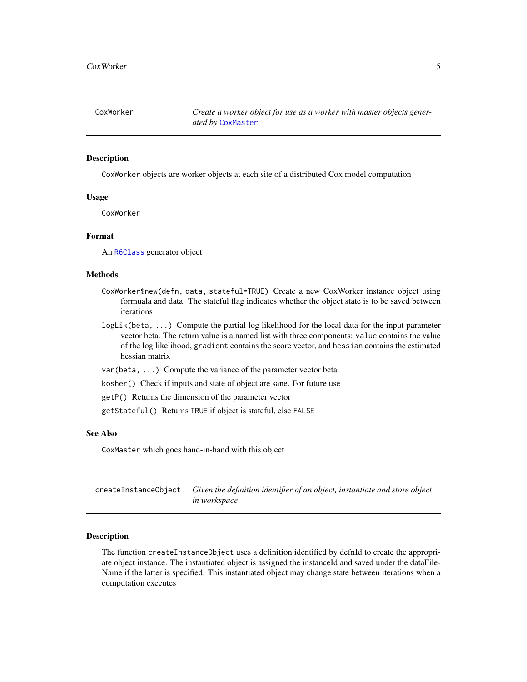<span id="page-4-1"></span><span id="page-4-0"></span>CoxWorker *Create a worker object for use as a worker with master objects generated by* [CoxMaster](#page-3-1)

#### Description

CoxWorker objects are worker objects at each site of a distributed Cox model computation

#### Usage

CoxWorker

#### Format

An [R6Class](#page-0-0) generator object

#### Methods

- CoxWorker\$new(defn, data, stateful=TRUE) Create a new CoxWorker instance object using formuala and data. The stateful flag indicates whether the object state is to be saved between iterations
- logLik(beta, ...) Compute the partial log likelihood for the local data for the input parameter vector beta. The return value is a named list with three components: value contains the value of the log likelihood, gradient contains the score vector, and hessian contains the estimated hessian matrix
- var(beta, ...) Compute the variance of the parameter vector beta

kosher() Check if inputs and state of object are sane. For future use

getP() Returns the dimension of the parameter vector

getStateful() Returns TRUE if object is stateful, else FALSE

#### See Also

CoxMaster which goes hand-in-hand with this object

<span id="page-4-2"></span>createInstanceObject *Given the definition identifier of an object, instantiate and store object in workspace*

#### Description

The function createInstanceObject uses a definition identified by defnId to create the appropriate object instance. The instantiated object is assigned the instanceId and saved under the dataFile-Name if the latter is specified. This instantiated object may change state between iterations when a computation executes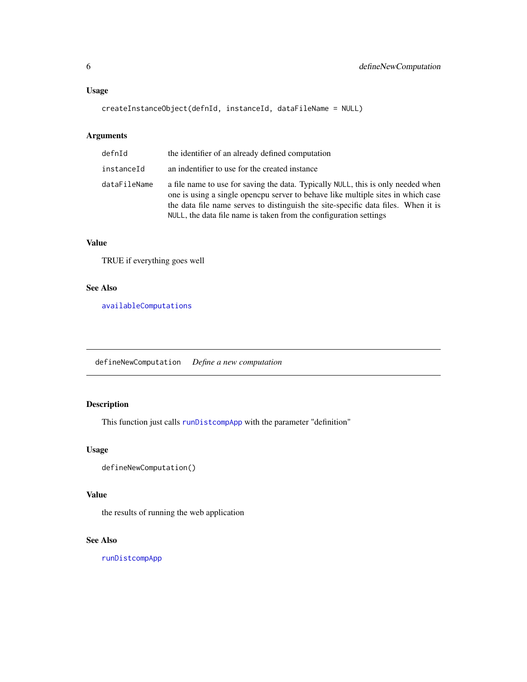### <span id="page-5-0"></span>Usage

```
createInstanceObject(defnId, instanceId, dataFileName = NULL)
```
### Arguments

| defnId       | the identifier of an already defined computation                                                                                                                                                                                                                                                                               |
|--------------|--------------------------------------------------------------------------------------------------------------------------------------------------------------------------------------------------------------------------------------------------------------------------------------------------------------------------------|
| instanceId   | an indentifier to use for the created instance                                                                                                                                                                                                                                                                                 |
| dataFileName | a file name to use for saving the data. Typically NULL, this is only needed when<br>one is using a single opencpu server to behave like multiple sites in which case<br>the data file name serves to distinguish the site-specific data files. When it is<br>NULL, the data file name is taken from the configuration settings |

### Value

TRUE if everything goes well

### See Also

[availableComputations](#page-1-1)

<span id="page-5-1"></span>defineNewComputation *Define a new computation*

### Description

This function just calls [runDistcompApp](#page-14-1) with the parameter "definition"

### Usage

```
defineNewComputation()
```
### Value

the results of running the web application

### See Also

[runDistcompApp](#page-14-1)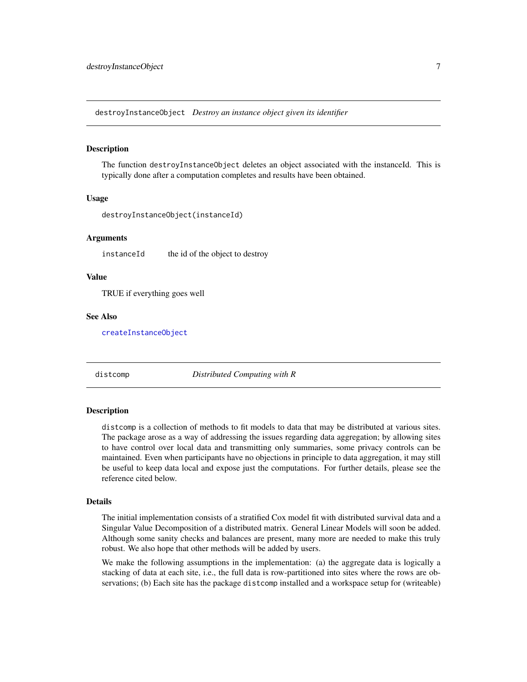<span id="page-6-0"></span>destroyInstanceObject *Destroy an instance object given its identifier*

#### Description

The function destroyInstanceObject deletes an object associated with the instanceId. This is typically done after a computation completes and results have been obtained.

#### Usage

destroyInstanceObject(instanceId)

#### Arguments

instanceId the id of the object to destroy

#### Value

TRUE if everything goes well

#### See Also

[createInstanceObject](#page-4-2)

distcomp *Distributed Computing with R*

#### Description

distcomp is a collection of methods to fit models to data that may be distributed at various sites. The package arose as a way of addressing the issues regarding data aggregation; by allowing sites to have control over local data and transmitting only summaries, some privacy controls can be maintained. Even when participants have no objections in principle to data aggregation, it may still be useful to keep data local and expose just the computations. For further details, please see the reference cited below.

#### Details

The initial implementation consists of a stratified Cox model fit with distributed survival data and a Singular Value Decomposition of a distributed matrix. General Linear Models will soon be added. Although some sanity checks and balances are present, many more are needed to make this truly robust. We also hope that other methods will be added by users.

We make the following assumptions in the implementation: (a) the aggregate data is logically a stacking of data at each site, i.e., the full data is row-partitioned into sites where the rows are observations; (b) Each site has the package distcomp installed and a workspace setup for (writeable)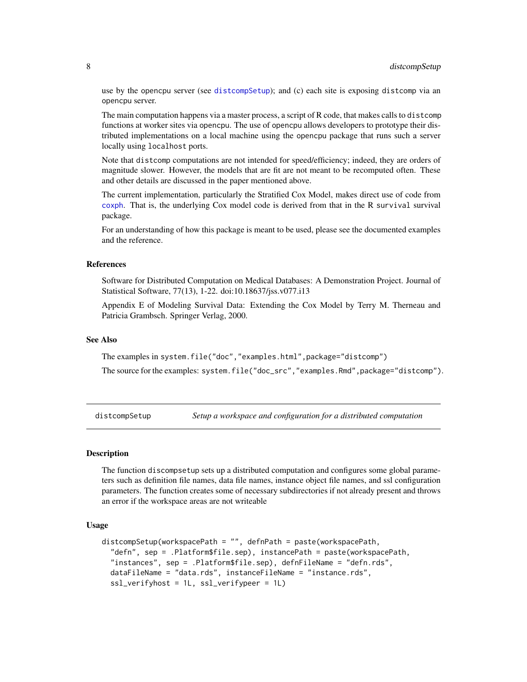use by the opencpu server (see [distcompSetup](#page-7-1)); and (c) each site is exposing distcomp via an opencpu server.

The main computation happens via a master process, a script of R code, that makes calls to distcomp functions at worker sites via opencpu. The use of opencpu allows developers to prototype their distributed implementations on a local machine using the opencpu package that runs such a server locally using localhost ports.

Note that distcomp computations are not intended for speed/efficiency; indeed, they are orders of magnitude slower. However, the models that are fit are not meant to be recomputed often. These and other details are discussed in the paper mentioned above.

The current implementation, particularly the Stratified Cox Model, makes direct use of code from [coxph](#page-0-0). That is, the underlying Cox model code is derived from that in the R survival survival package.

For an understanding of how this package is meant to be used, please see the documented examples and the reference.

### References

Software for Distributed Computation on Medical Databases: A Demonstration Project. Journal of Statistical Software, 77(13), 1-22. doi:10.18637/jss.v077.i13

Appendix E of Modeling Survival Data: Extending the Cox Model by Terry M. Therneau and Patricia Grambsch. Springer Verlag, 2000.

#### See Also

The examples in system.file("doc","examples.html",package="distcomp")

The source for the examples: system.file("doc\_src","examples.Rmd",package="distcomp").

<span id="page-7-1"></span>distcompSetup *Setup a workspace and configuration for a distributed computation*

#### Description

The function discompsetup sets up a distributed computation and configures some global parameters such as definition file names, data file names, instance object file names, and ssl configuration parameters. The function creates some of necessary subdirectories if not already present and throws an error if the workspace areas are not writeable

#### Usage

```
distcompSetup(workspacePath = "", defnPath = paste(workspacePath,
  "defn", sep = .Platform$file.sep), instancePath = paste(workspacePath,
  "instances", sep = .Platform$file.sep), defnFileName = "defn.rds",
  dataFileName = "data.rds", instanceFileName = "instance.rds",
  ssl_verifyhost = 1L, ssl_verifypeer = 1L)
```
<span id="page-7-0"></span>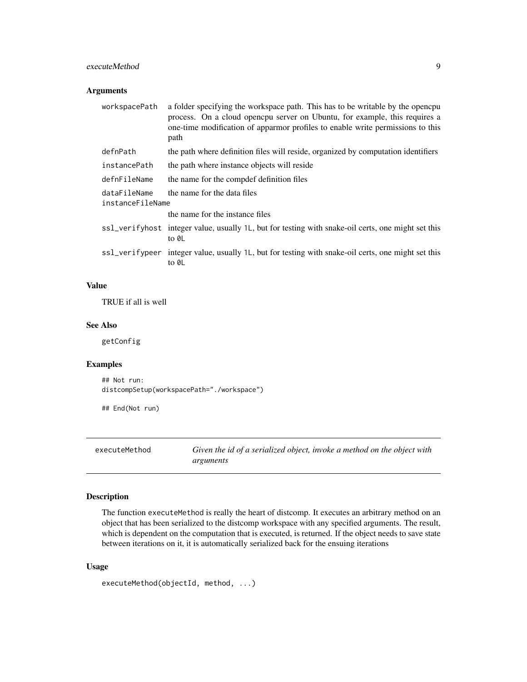#### <span id="page-8-0"></span>executeMethod 9

### Arguments

| a folder specifying the workspace path. This has to be writable by the opencpu<br>process. On a cloud opencpu server on Ubuntu, for example, this requires a<br>one-time modification of apparmor profiles to enable write permissions to this<br>path |
|--------------------------------------------------------------------------------------------------------------------------------------------------------------------------------------------------------------------------------------------------------|
| the path where definition files will reside, organized by computation identifiers                                                                                                                                                                      |
| the path where instance objects will reside                                                                                                                                                                                                            |
| the name for the compdef definition files                                                                                                                                                                                                              |
| the name for the data files<br>instanceFileName                                                                                                                                                                                                        |
| the name for the instance files                                                                                                                                                                                                                        |
| ss1_verifyhost integer value, usually 1L, but for testing with snake-oil certs, one might set this<br>to 0L                                                                                                                                            |
| ss1_verifypeer integer value, usually 1L, but for testing with snake-oil certs, one might set this<br>to 0L                                                                                                                                            |
|                                                                                                                                                                                                                                                        |

### Value

TRUE if all is well

### See Also

getConfig

### Examples

```
## Not run:
distcompSetup(workspacePath="./workspace")
```
## End(Not run)

```
executeMethod Given the id of a serialized object, invoke a method on the object with
                        arguments
```
### Description

The function executeMethod is really the heart of distcomp. It executes an arbitrary method on an object that has been serialized to the distcomp workspace with any specified arguments. The result, which is dependent on the computation that is executed, is returned. If the object needs to save state between iterations on it, it is automatically serialized back for the ensuing iterations

### Usage

```
executeMethod(objectId, method, ...)
```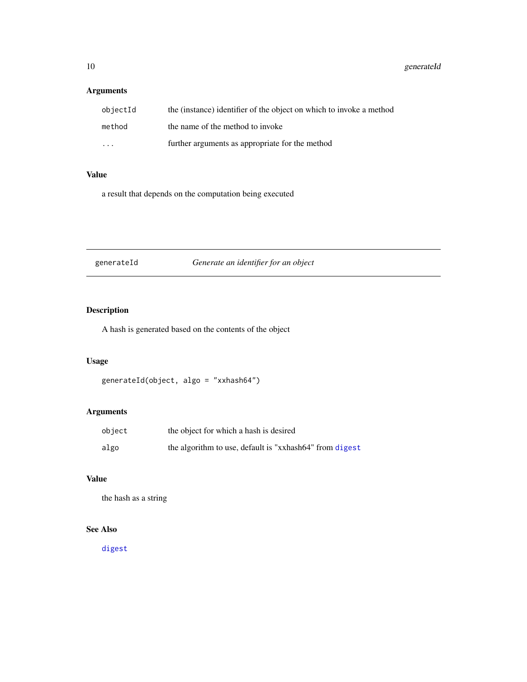### <span id="page-9-0"></span>Arguments

| objectId                | the (instance) identifier of the object on which to invoke a method |
|-------------------------|---------------------------------------------------------------------|
| method                  | the name of the method to invoke                                    |
| $\cdot$ $\cdot$ $\cdot$ | further arguments as appropriate for the method                     |

### Value

a result that depends on the computation being executed

generateId *Generate an identifier for an object*

### Description

A hash is generated based on the contents of the object

### Usage

generateId(object, algo = "xxhash64")

### Arguments

| object | the object for which a hash is desired                  |
|--------|---------------------------------------------------------|
| algo   | the algorithm to use, default is "xxhash64" from digest |

### Value

the hash as a string

### See Also

[digest](#page-0-0)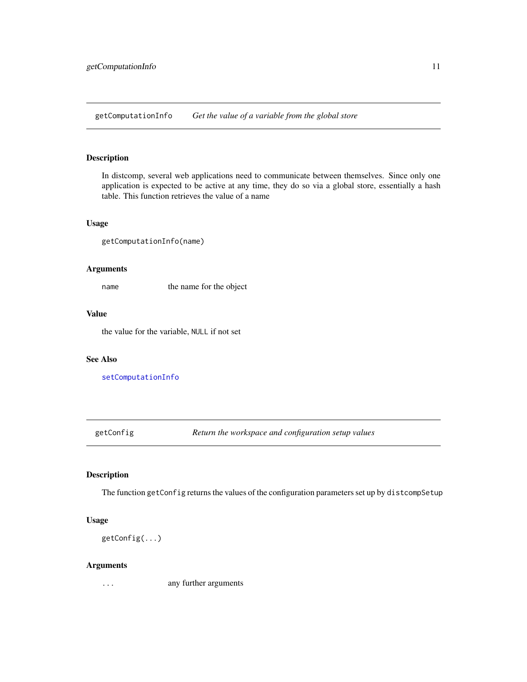<span id="page-10-1"></span><span id="page-10-0"></span>getComputationInfo *Get the value of a variable from the global store*

### Description

In distcomp, several web applications need to communicate between themselves. Since only one application is expected to be active at any time, they do so via a global store, essentially a hash table. This function retrieves the value of a name

### Usage

getComputationInfo(name)

#### Arguments

name the name for the object

#### Value

the value for the variable, NULL if not set

#### See Also

[setComputationInfo](#page-15-1)

getConfig *Return the workspace and configuration setup values*

### Description

The function getConfig returns the values of the configuration parameters set up by distcompSetup

#### Usage

```
getConfig(...)
```
#### Arguments

... any further arguments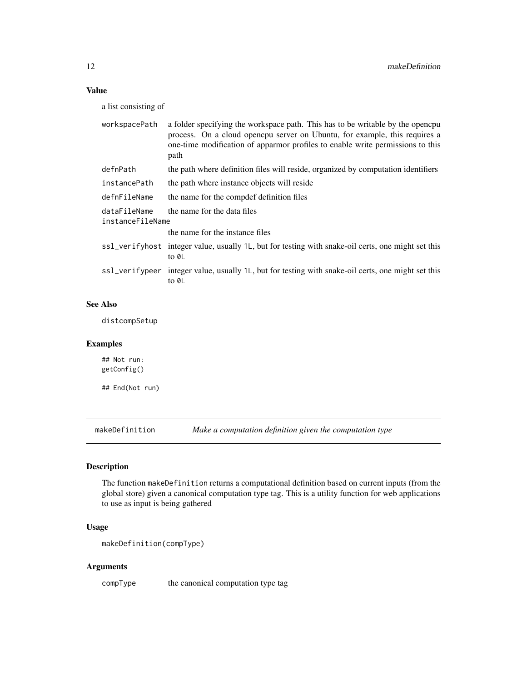### <span id="page-11-0"></span>Value

a list consisting of

| workspacePath                    | a folder specifying the workspace path. This has to be writable by the opencpu<br>process. On a cloud opencpu server on Ubuntu, for example, this requires a<br>one-time modification of apparmor profiles to enable write permissions to this<br>path |
|----------------------------------|--------------------------------------------------------------------------------------------------------------------------------------------------------------------------------------------------------------------------------------------------------|
| defnPath                         | the path where definition files will reside, organized by computation identifiers                                                                                                                                                                      |
| instancePath                     | the path where instance objects will reside                                                                                                                                                                                                            |
| defnFileName                     | the name for the compdef definition files                                                                                                                                                                                                              |
| dataFileName<br>instanceFileName | the name for the data files                                                                                                                                                                                                                            |
|                                  | the name for the instance files                                                                                                                                                                                                                        |
|                                  | ss1_verifyhost integer value, usually 1L, but for testing with snake-oil certs, one might set this<br>to 0L                                                                                                                                            |
|                                  | ss1_verifypeer integer value, usually 1L, but for testing with snake-oil certs, one might set this<br>to 0L                                                                                                                                            |

### See Also

distcompSetup

### Examples

## Not run: getConfig()

## End(Not run)

makeDefinition *Make a computation definition given the computation type*

### Description

The function makeDefinition returns a computational definition based on current inputs (from the global store) given a canonical computation type tag. This is a utility function for web applications to use as input is being gathered

### Usage

```
makeDefinition(compType)
```
### Arguments

compType the canonical computation type tag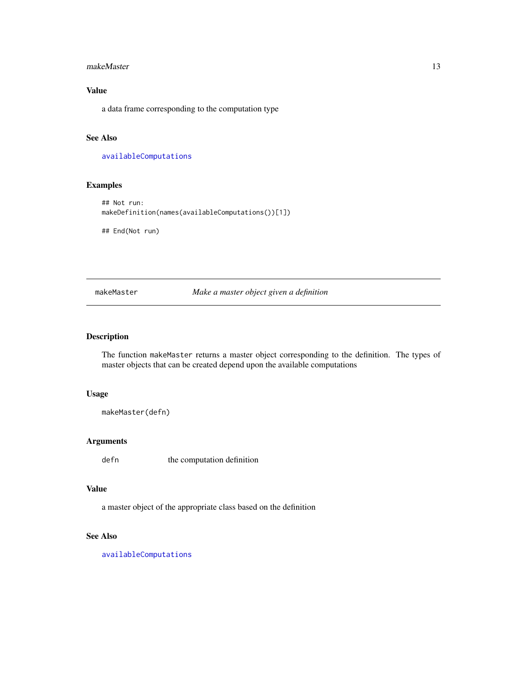#### <span id="page-12-0"></span>makeMaster 13

### Value

a data frame corresponding to the computation type

### See Also

[availableComputations](#page-1-1)

### Examples

## Not run: makeDefinition(names(availableComputations())[1])

## End(Not run)

makeMaster *Make a master object given a definition*

### Description

The function makeMaster returns a master object corresponding to the definition. The types of master objects that can be created depend upon the available computations

### Usage

makeMaster(defn)

### Arguments

defn the computation definition

### Value

a master object of the appropriate class based on the definition

### See Also

[availableComputations](#page-1-1)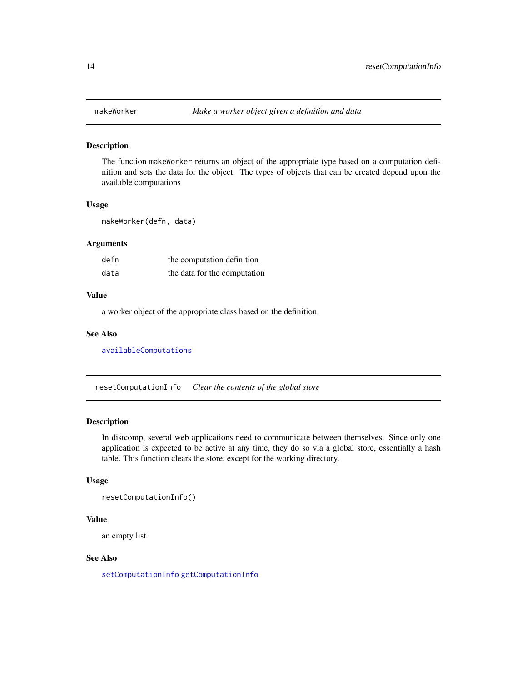<span id="page-13-0"></span>

#### Description

The function makeWorker returns an object of the appropriate type based on a computation definition and sets the data for the object. The types of objects that can be created depend upon the available computations

#### Usage

makeWorker(defn, data)

#### Arguments

| defn | the computation definition   |
|------|------------------------------|
| data | the data for the computation |

#### Value

a worker object of the appropriate class based on the definition

#### See Also

[availableComputations](#page-1-1)

resetComputationInfo *Clear the contents of the global store*

### Description

In distcomp, several web applications need to communicate between themselves. Since only one application is expected to be active at any time, they do so via a global store, essentially a hash table. This function clears the store, except for the working directory.

#### Usage

```
resetComputationInfo()
```
#### Value

an empty list

### See Also

[setComputationInfo](#page-15-1) [getComputationInfo](#page-10-1)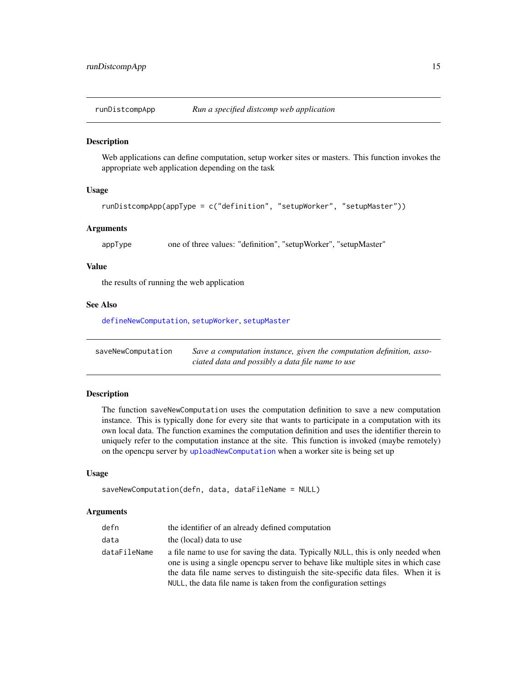<span id="page-14-1"></span><span id="page-14-0"></span>

### Description

Web applications can define computation, setup worker sites or masters. This function invokes the appropriate web application depending on the task

#### Usage

```
runDistcompApp(appType = c("definition", "setupWorker", "setupMaster"))
```
#### Arguments

appType one of three values: "definition", "setupWorker", "setupMaster"

### Value

the results of running the web application

#### See Also

[defineNewComputation](#page-5-1), [setupWorker](#page-16-1), [setupMaster](#page-15-2)

<span id="page-14-2"></span>

| saveNewComputation | Save a computation instance, given the computation definition, asso- |
|--------------------|----------------------------------------------------------------------|
|                    | ciated data and possibly a data file name to use                     |

### Description

The function saveNewComputation uses the computation definition to save a new computation instance. This is typically done for every site that wants to participate in a computation with its own local data. The function examines the computation definition and uses the identifier therein to uniquely refer to the computation instance at the site. This function is invoked (maybe remotely) on the opencpu server by [uploadNewComputation](#page-18-1) when a worker site is being set up

### Usage

```
saveNewComputation(defn, data, dataFileName = NULL)
```
#### Arguments

| defn         | the identifier of an already defined computation                                                                                                                     |
|--------------|----------------------------------------------------------------------------------------------------------------------------------------------------------------------|
| data         | the (local) data to use                                                                                                                                              |
| dataFileName | a file name to use for saving the data. Typically NULL, this is only needed when<br>one is using a single opencpu server to behave like multiple sites in which case |
|              | the data file name serves to distinguish the site-specific data files. When it is<br>NULL, the data file name is taken from the configuration settings               |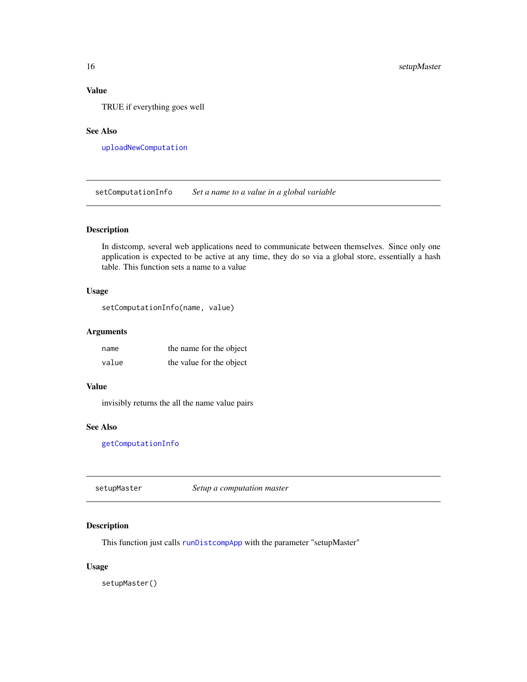### Value

TRUE if everything goes well

### See Also

[uploadNewComputation](#page-18-1)

<span id="page-15-1"></span>setComputationInfo *Set a name to a value in a global variable*

#### Description

In distcomp, several web applications need to communicate between themselves. Since only one application is expected to be active at any time, they do so via a global store, essentially a hash table. This function sets a name to a value

#### Usage

```
setComputationInfo(name, value)
```
### Arguments

| name  | the name for the object  |
|-------|--------------------------|
| value | the value for the object |

#### Value

invisibly returns the all the name value pairs

#### See Also

[getComputationInfo](#page-10-1)

<span id="page-15-2"></span>setupMaster *Setup a computation master*

### Description

This function just calls [runDistcompApp](#page-14-1) with the parameter "setupMaster"

### Usage

setupMaster()

<span id="page-15-0"></span>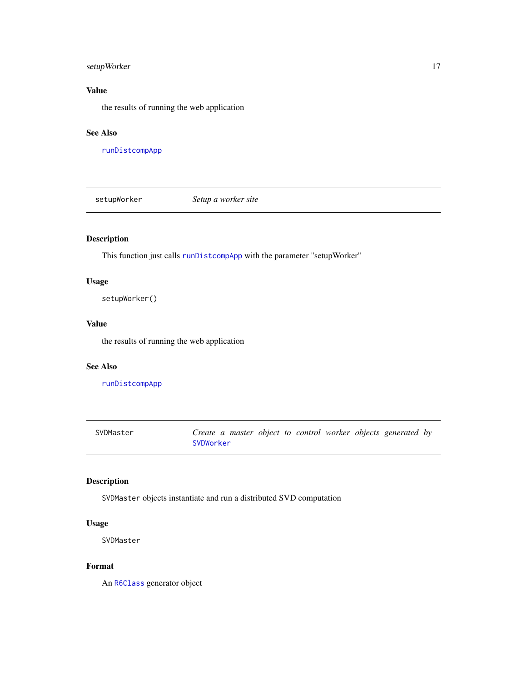### <span id="page-16-0"></span>setupWorker 17

### Value

the results of running the web application

### See Also

[runDistcompApp](#page-14-1)

<span id="page-16-1"></span>setupWorker *Setup a worker site*

### Description

This function just calls [runDistcompApp](#page-14-1) with the parameter "setupWorker"

### Usage

setupWorker()

### Value

the results of running the web application

#### See Also

[runDistcompApp](#page-14-1)

<span id="page-16-2"></span>SVDMaster *Create a master object to control worker objects generated by* [SVDWorker](#page-17-1)

### Description

SVDMaster objects instantiate and run a distributed SVD computation

### Usage

SVDMaster

#### Format

An [R6Class](#page-0-0) generator object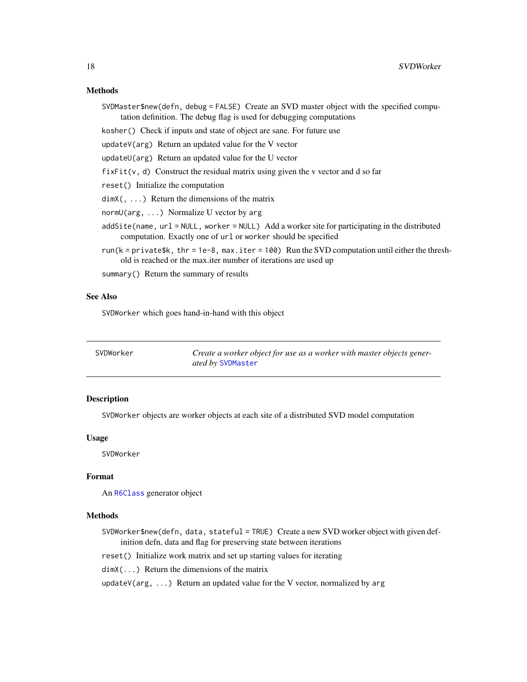#### <span id="page-17-0"></span>Methods

SVDMaster\$new(defn, debug = FALSE) Create an SVD master object with the specified computation definition. The debug flag is used for debugging computations

kosher() Check if inputs and state of object are sane. For future use

updateV(arg) Return an updated value for the V vector

updateU(arg) Return an updated value for the U vector

 $fixFit(v, d)$  Construct the residual matrix using given the v vector and d so far

reset() Initialize the computation

 $dimX($ , ...) Return the dimensions of the matrix

normU(arg, ...) Normalize U vector by arg

- addSite(name, url = NULL, worker = NULL) Add a worker site for participating in the distributed computation. Exactly one of url or worker should be specified
- run( $k = private$ \$k, thr = 1e-8, max.iter = 100) Run the SVD computation until either the threshold is reached or the max.iter number of iterations are used up

summary() Return the summary of results

#### See Also

SVDWorker which goes hand-in-hand with this object

<span id="page-17-1"></span>

| SVDWorker | Create a worker object for use as a worker with master objects gener- |
|-----------|-----------------------------------------------------------------------|
|           | <i>ated by SVDMaster</i>                                              |

### **Description**

SVDWorker objects are worker objects at each site of a distributed SVD model computation

#### Usage

SVDWorker

#### Format

An [R6Class](#page-0-0) generator object

### Methods

SVDWorker\$new(defn, data, stateful = TRUE) Create a new SVD worker object with given definition defn, data and flag for preserving state between iterations

reset() Initialize work matrix and set up starting values for iterating

dimX(...) Return the dimensions of the matrix

updateV( $arg$ , ...) Return an updated value for the V vector, normalized by arg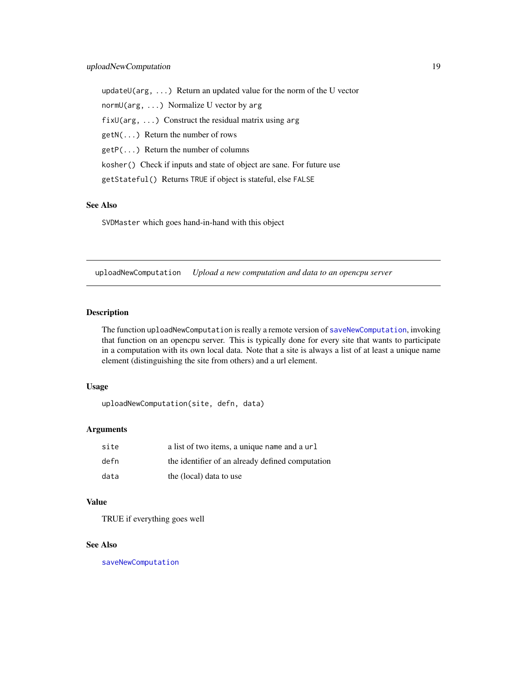<span id="page-18-0"></span>updateU(arg, ...) Return an updated value for the norm of the U vector normU(arg, ...) Normalize U vector by arg fix $U(\text{arg}, \ldots)$  Construct the residual matrix using arg getN(...) Return the number of rows getP(...) Return the number of columns kosher() Check if inputs and state of object are sane. For future use getStateful() Returns TRUE if object is stateful, else FALSE

### See Also

SVDMaster which goes hand-in-hand with this object

<span id="page-18-1"></span>uploadNewComputation *Upload a new computation and data to an opencpu server*

### Description

The function uploadNewComputation is really a remote version of [saveNewComputation](#page-14-2), invoking that function on an opencpu server. This is typically done for every site that wants to participate in a computation with its own local data. Note that a site is always a list of at least a unique name element (distinguishing the site from others) and a url element.

### Usage

uploadNewComputation(site, defn, data)

#### Arguments

| site | a list of two items, a unique name and a url     |
|------|--------------------------------------------------|
| defn | the identifier of an already defined computation |
| data | the (local) data to use                          |

#### Value

TRUE if everything goes well

### See Also

[saveNewComputation](#page-14-2)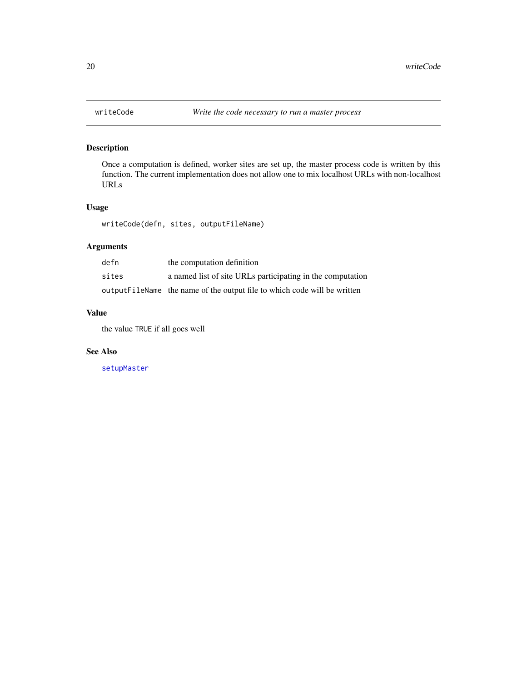<span id="page-19-0"></span>

### Description

Once a computation is defined, worker sites are set up, the master process code is written by this function. The current implementation does not allow one to mix localhost URLs with non-localhost URLs

### Usage

writeCode(defn, sites, outputFileName)

### Arguments

| defn  | the computation definition                                                |
|-------|---------------------------------------------------------------------------|
| sites | a named list of site URLs participating in the computation                |
|       | output FileName the name of the output file to which code will be written |

### Value

the value TRUE if all goes well

### See Also

[setupMaster](#page-15-2)